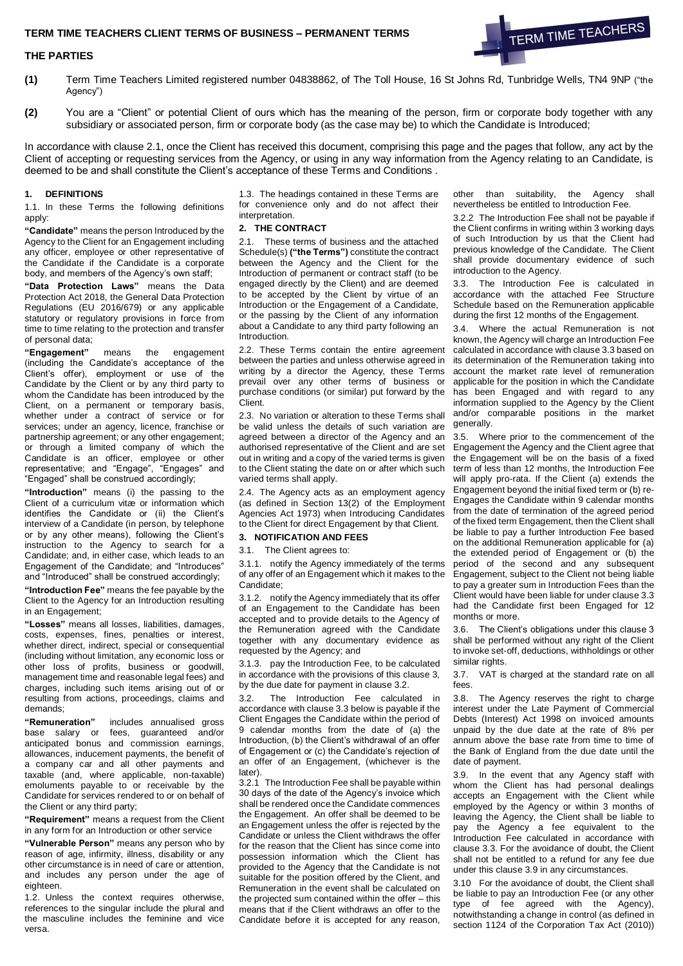## **TERM TIME TEACHERS CLIENT TERMS OF BUSINESS – PERMANENT TERMS**

### **THE PARTIES**

- **(1)** Term Time Teachers Limited registered number 04838862, of The Toll House, 16 St Johns Rd, Tunbridge Wells, TN4 9NP ("the Agency")
- **(2)** You are a "Client" or potential Client of ours which has the meaning of the person, firm or corporate body together with any subsidiary or associated person, firm or corporate body (as the case may be) to which the Candidate is Introduced;

In accordance with clause 2.1, once the Client has received this document, comprising this page and the pages that follow, any act by the Client of accepting or requesting services from the Agency, or using in any way information from the Agency relating to an Candidate, is deemed to be and shall constitute the Client's acceptance of these Terms and Conditions .

## **1. DEFINITIONS**

1.1. In these Terms the following definitions apply:

**"Candidate"** means the person Introduced by the Agency to the Client for an Engagement including any officer, employee or other representative of the Candidate if the Candidate is a corporate body, and members of the Agency's own staff;

**"Data Protection Laws"** means the Data Protection Act 2018, the General Data Protection Regulations (EU 2016/679) or any applicable statutory or regulatory provisions in force from time to time relating to the protection and transfer of personal data;

**"Engagement"** means the engagement (including the Candidate's acceptance of the Client's offer), employment or use of the Candidate by the Client or by any third party to whom the Candidate has been introduced by the Client, on a permanent or temporary basis, whether under a contract of service or for services; under an agency, licence, franchise or partnership agreement; or any other engagement; or through a limited company of which the Candidate is an officer, employee or other representative; and "Engage", "Engages" and "Engaged" shall be construed accordingly;

**"Introduction"** means (i) the passing to the Client of a curriculum vitæ or information which identifies the Candidate or (ii) the Client's interview of a Candidate (in person, by telephone or by any other means), following the Client's instruction to the Agency to search for a Candidate; and, in either case, which leads to an Engagement of the Candidate; and "Introduces" and "Introduced" shall be construed accordingly;

**"Introduction Fee"** means the fee payable by the Client to the Agency for an Introduction resulting in an Engagement;

**"Losses"** means all losses, liabilities, damages, costs, expenses, fines, penalties or interest, whether direct, indirect, special or consequential (including without limitation, any economic loss or other loss of profits, business or goodwill, management time and reasonable legal fees) and charges, including such items arising out of or resulting from actions, proceedings, claims and demands;

**"Remuneration"** includes annualised gross base salary or fees, guaranteed and/or anticipated bonus and commission earnings, allowances, inducement payments, the benefit of a company car and all other payments and taxable (and, where applicable, non-taxable) emoluments payable to or receivable by the Candidate for services rendered to or on behalf of the Client or any third party;

**"Requirement"** means a request from the Client in any form for an Introduction or other service

**"Vulnerable Person"** means any person who by reason of age, infirmity, illness, disability or any other circumstance is in need of care or attention, and includes any person under the age of eighteen.

1.2. Unless the context requires otherwise, references to the singular include the plural and the masculine includes the feminine and vice versa.

1.3. The headings contained in these Terms are for convenience only and do not affect their interpretation.

#### **2. THE CONTRACT**

2.1. These terms of business and the attached Schedule(s) **("the Terms")** constitute the contract between the Agency and the Client for the Introduction of permanent or contract staff (to be engaged directly by the Client) and are deemed to be accepted by the Client by virtue of an Introduction or the Engagement of a Candidate, or the passing by the Client of any information about a Candidate to any third party following an Introduction.

2.2. These Terms contain the entire agreement between the parties and unless otherwise agreed in writing by a director the Agency, these Terms prevail over any other terms of business or purchase conditions (or similar) put forward by the Client.

2.3. No variation or alteration to these Terms shall be valid unless the details of such variation are agreed between a director of the Agency and an authorised representative of the Client and are set out in writing and a copy of the varied terms is given to the Client stating the date on or after which such varied terms shall apply.

2.4. The Agency acts as an employment agency (as defined in Section 13(2) of the Employment Agencies Act 1973) when Introducing Candidates to the Client for direct Engagement by that Client.

### **3. NOTIFICATION AND FEES**

3.1. The Client agrees to:

3.1.1. notify the Agency immediately of the terms of any offer of an Engagement which it makes to the Candidate;

3.1.2. notify the Agency immediately that its offer of an Engagement to the Candidate has been accepted and to provide details to the Agency of the Remuneration agreed with the Candidate together with any documentary evidence as requested by the Agency; and

3.1.3. pay the Introduction Fee, to be calculated in accordance with the provisions of this clause 3, by the due date for payment in clause 3.2.

3.2. The Introduction Fee calculated in accordance with clause 3.3 below is payable if the Client Engages the Candidate within the period of 9 calendar months from the date of (a) the Introduction, (b) the Client's withdrawal of an offer of Engagement or (c) the Candidate's rejection of an offer of an Engagement, (whichever is the later).

3.2.1 The Introduction Fee shall be payable within 30 days of the date of the Agency's invoice which shall be rendered once the Candidate commences the Engagement. An offer shall be deemed to be an Engagement unless the offer is rejected by the Candidate or unless the Client withdraws the offer for the reason that the Client has since come into possession information which the Client has provided to the Agency that the Candidate is not suitable for the position offered by the Client, and Remuneration in the event shall be calculated on the projected sum contained within the offer – this means that if the Client withdraws an offer to the Candidate before it is accepted for any reason, other than suitability, the Agency shall nevertheless be entitled to Introduction Fee.

TERM TIME TEACHERS

3.2.2 The Introduction Fee shall not be payable if the Client confirms in writing within 3 working days of such Introduction by us that the Client had previous knowledge of the Candidate. The Client shall provide documentary evidence of such introduction to the Agency.

3.3. The Introduction Fee is calculated in accordance with the attached Fee Structure Schedule based on the Remuneration applicable during the first 12 months of the Engagement.

3.4. Where the actual Remuneration is not known, the Agency will charge an Introduction Fee calculated in accordance with clause 3.3 based on its determination of the Remuneration taking into account the market rate level of remuneration applicable for the position in which the Candidate has been Engaged and with regard to any information supplied to the Agency by the Client and/or comparable positions in the market generally.

3.5. Where prior to the commencement of the Engagement the Agency and the Client agree that the Engagement will be on the basis of a fixed term of less than 12 months, the Introduction Fee will apply pro-rata. If the Client (a) extends the Engagement beyond the initial fixed term or (b) re-Engages the Candidate within 9 calendar months from the date of termination of the agreed period of the fixed term Engagement, then the Client shall be liable to pay a further Introduction Fee based on the additional Remuneration applicable for (a) the extended period of Engagement or (b) the period of the second and any subsequent Engagement, subject to the Client not being liable to pay a greater sum in Introduction Fees than the Client would have been liable for under clause 3.3 had the Candidate first been Engaged for 12 months or more.

3.6. The Client's obligations under this clause 3 shall be performed without any right of the Client to invoke set-off, deductions, withholdings or other similar rights.

3.7. VAT is charged at the standard rate on all fees.

3.8. The Agency reserves the right to charge interest under the Late Payment of Commercial Debts (Interest) Act 1998 on invoiced amounts unpaid by the due date at the rate of 8% per annum above the base rate from time to time of the Bank of England from the due date until the date of payment.

3.9. In the event that any Agency staff with whom the Client has had personal dealings accepts an Engagement with the Client while employed by the Agency or within 3 months of leaving the Agency, the Client shall be liable to pay the Agency a fee equivalent to the Introduction Fee calculated in accordance with clause 3.3. For the avoidance of doubt, the Client shall not be entitled to a refund for any fee due under this clause 3.9 in any circumstances.

3.10 For the avoidance of doubt, the Client shall be liable to pay an Introduction Fee (or any other type of fee agreed with the Agency), notwithstanding a change in control (as defined in section 1124 of the Corporation Tax Act (2010))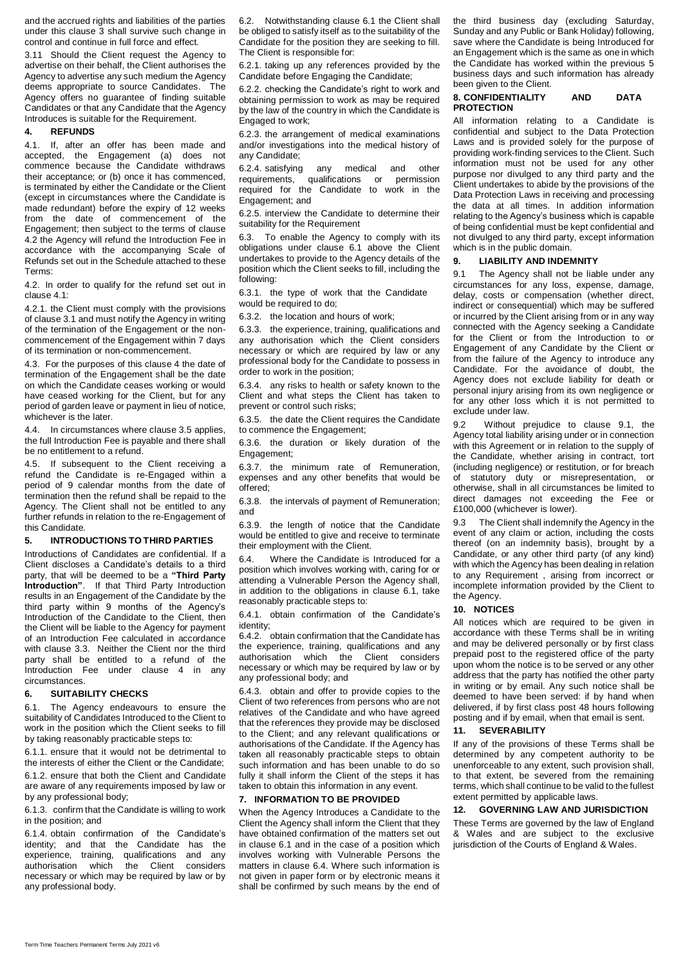and the accrued rights and liabilities of the parties under this clause 3 shall survive such change in control and continue in full force and effect.

3.11 Should the Client request the Agency to advertise on their behalf, the Client authorises the Agency to advertise any such medium the Agency deems appropriate to source Candidates. The Agency offers no guarantee of finding suitable Candidates or that any Candidate that the Agency Introduces is suitable for the Requirement.

### **4. REFUNDS**

4.1. If, after an offer has been made and accepted, the Engagement (a) does not commence because the Candidate withdraws their acceptance; or (b) once it has commenced, is terminated by either the Candidate or the Client (except in circumstances where the Candidate is made redundant) before the expiry of 12 weeks from the date of commencement of the Engagement; then subject to the terms of clause 4.2 the Agency will refund the Introduction Fee in accordance with the accompanying Scale of Refunds set out in the Schedule attached to these Terms:

4.2. In order to qualify for the refund set out in clause 4.1:

4.2.1. the Client must comply with the provisions of clause 3.1 and must notify the Agency in writing of the termination of the Engagement or the noncommencement of the Engagement within 7 days of its termination or non-commencement.

4.3. For the purposes of this clause 4 the date of termination of the Engagement shall be the date on which the Candidate ceases working or would have ceased working for the Client, but for any period of garden leave or payment in lieu of notice, whichever is the later.

4.4. In circumstances where clause 3.5 applies, the full Introduction Fee is payable and there shall be no entitlement to a refund.

4.5. If subsequent to the Client receiving a refund the Candidate is re-Engaged within a period of 9 calendar months from the date of termination then the refund shall be repaid to the Agency. The Client shall not be entitled to any further refunds in relation to the re-Engagement of this Candidate.

#### **5. INTRODUCTIONS TO THIRD PARTIES**

Introductions of Candidates are confidential. If a Client discloses a Candidate's details to a third party, that will be deemed to be a **"Third Party Introduction"**. If that Third Party Introduction results in an Engagement of the Candidate by the third party within 9 months of the Agency's Introduction of the Candidate to the Client, then the Client will be liable to the Agency for payment of an Introduction Fee calculated in accordance with clause 3.3. Neither the Client nor the third party shall be entitled to a refund of the Introduction Fee under clause 4 in any circumstances.

## **6. SUITABILITY CHECKS**

6.1. The Agency endeavours to ensure the suitability of Candidates Introduced to the Client to work in the position which the Client seeks to fill by taking reasonably practicable steps to:

6.1.1. ensure that it would not be detrimental to the interests of either the Client or the Candidate;

6.1.2. ensure that both the Client and Candidate are aware of any requirements imposed by law or by any professional body;

6.1.3. confirm that the Candidate is willing to work in the position; and

6.1.4. obtain confirmation of the Candidate's identity; and that the Candidate has the experience, training, qualifications and any authorisation which the Client considers necessary or which may be required by law or by any professional body.

6.2. Notwithstanding clause 6.1 the Client shall be obliged to satisfy itself as to the suitability of the Candidate for the position they are seeking to fill. The Client is responsible for:

6.2.1. taking up any references provided by the Candidate before Engaging the Candidate;

6.2.2. checking the Candidate's right to work and obtaining permission to work as may be required by the law of the country in which the Candidate is Engaged to work;

6.2.3. the arrangement of medical examinations and/or investigations into the medical history of any Candidate;

6.2.4. satisfying any medical and other requirements, qualifications or permission required for the Candidate to work in the Engagement; and

6.2.5. interview the Candidate to determine their suitability for the Requirement

6.3. To enable the Agency to comply with its obligations under clause 6.1 above the Client undertakes to provide to the Agency details of the position which the Client seeks to fill, including the following:

6.3.1. the type of work that the Candidate would be required to do:

6.3.2. the location and hours of work;

6.3.3. the experience, training, qualifications and any authorisation which the Client considers necessary or which are required by law or any professional body for the Candidate to possess in order to work in the position;

6.3.4. any risks to health or safety known to the Client and what steps the Client has taken to prevent or control such risks;

6.3.5. the date the Client requires the Candidate to commence the Engagement;

6.3.6. the duration or likely duration of the Engagement;

6.3.7. the minimum rate of Remuneration, expenses and any other benefits that would be offered;

6.3.8. the intervals of payment of Remuneration; and

6.3.9. the length of notice that the Candidate would be entitled to give and receive to terminate their employment with the Client.

6.4. Where the Candidate is Introduced for a position which involves working with, caring for or attending a Vulnerable Person the Agency shall, in addition to the obligations in clause 6.1, take reasonably practicable steps to:

6.4.1. obtain confirmation of the Candidate's identity;

6.4.2. obtain confirmation that the Candidate has the experience, training, qualifications and any authorisation which the Client considers necessary or which may be required by law or by any professional body; and

6.4.3. obtain and offer to provide copies to the Client of two references from persons who are not relatives of the Candidate and who have agreed that the references they provide may be disclosed to the Client; and any relevant qualifications or authorisations of the Candidate. If the Agency has taken all reasonably practicable steps to obtain such information and has been unable to do so fully it shall inform the Client of the steps it has taken to obtain this information in any event.

#### **7. INFORMATION TO BE PROVIDED**

When the Agency Introduces a Candidate to the Client the Agency shall inform the Client that they have obtained confirmation of the matters set out in clause 6.1 and in the case of a position which involves working with Vulnerable Persons the matters in clause 6.4. Where such information is not given in paper form or by electronic means it shall be confirmed by such means by the end of the third business day (excluding Saturday, Sunday and any Public or Bank Holiday) following, save where the Candidate is being Introduced for an Engagement which is the same as one in which the Candidate has worked within the previous 5 business days and such information has already been given to the Client.

### **8. CONFIDENTIALITY AND DATA PROTECTION**

All information relating to a Candidate is confidential and subject to the Data Protection Laws and is provided solely for the purpose of providing work-finding services to the Client. Such information must not be used for any other purpose nor divulged to any third party and the Client undertakes to abide by the provisions of the Data Protection Laws in receiving and processing the data at all times. In addition information relating to the Agency's business which is capable of being confidential must be kept confidential and not divulged to any third party, except information which is in the public domain.

#### **9. LIABILITY AND INDEMNITY**

9.1 The Agency shall not be liable under any circumstances for any loss, expense, damage, delay, costs or compensation (whether direct, indirect or consequential) which may be suffered or incurred by the Client arising from or in any way connected with the Agency seeking a Candidate for the Client or from the Introduction to or Engagement of any Candidate by the Client or from the failure of the Agency to introduce any Candidate. For the avoidance of doubt, the Agency does not exclude liability for death or personal injury arising from its own negligence or for any other loss which it is not permitted to exclude under law.

9.2 Without prejudice to clause 9.1, the Agency total liability arising under or in connection with this Agreement or in relation to the supply of the Candidate, whether arising in contract, tort (including negligence) or restitution, or for breach of statutory duty or misrepresentation, or otherwise, shall in all circumstances be limited to direct damages not exceeding the Fee or £100,000 (whichever is lower).

9.3 The Client shall indemnify the Agency in the event of any claim or action, including the costs thereof (on an indemnity basis), brought by a Candidate, or any other third party (of any kind) with which the Agency has been dealing in relation to any Requirement , arising from incorrect or incomplete information provided by the Client to the Agency.

## **10. NOTICES**

All notices which are required to be given in accordance with these Terms shall be in writing and may be delivered personally or by first class prepaid post to the registered office of the party upon whom the notice is to be served or any other address that the party has notified the other party in writing or by email. Any such notice shall be deemed to have been served: if by hand when delivered, if by first class post 48 hours following posting and if by email, when that email is sent.

#### **11. SEVERABILITY**

If any of the provisions of these Terms shall be determined by any competent authority to be unenforceable to any extent, such provision shall, to that extent, be severed from the remaining terms, which shall continue to be valid to the fullest extent permitted by applicable laws.

## **12. GOVERNING LAW AND JURISDICTION**

These Terms are governed by the law of England & Wales and are subject to the exclusive jurisdiction of the Courts of England & Wales.